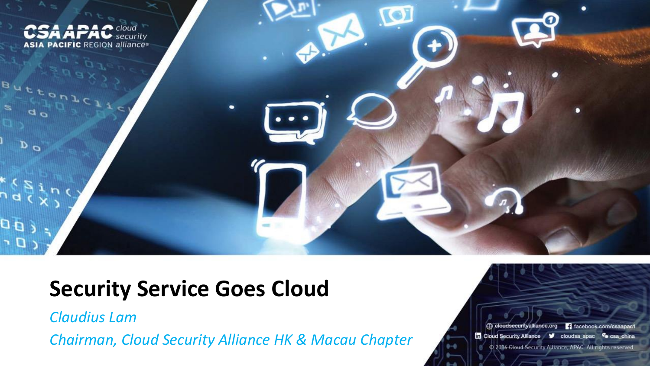

#### **Security Service Goes Cloud**

*Claudius Lam*

*Chairman, Cloud Security Alliance HK & Macau Chapter*

cloudsecurityalliance.org 4 facebook.com/csaapac1 In Cloud Security Alliance V cloudsa apac Co csa\_china C 2016 Cloud Security Alliance, APAC. All rights reserved.

 $-0.007$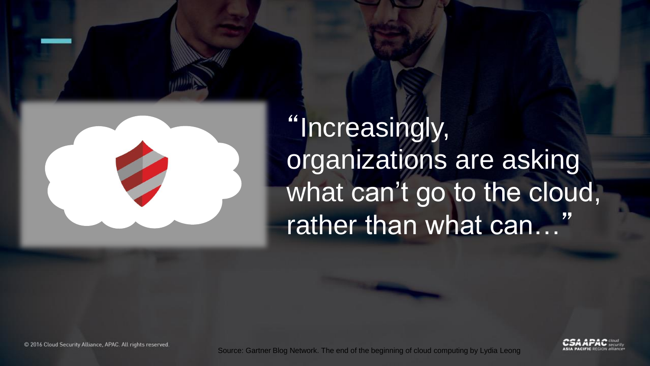

"Increasingly, organizations are asking what can't go to the cloud, rather than what can…"



© 2016 Cloud Security Alliance, APAC. All rights reserved.

Source: Gartner Blog Network. The end of the beginning of cloud computing by Lydia Leong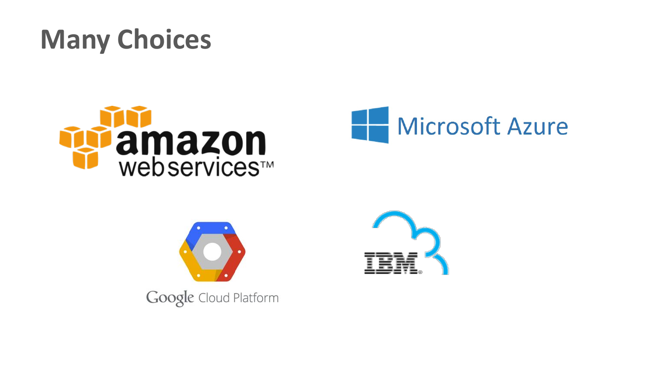# **Many Choices**







Google Cloud Platform

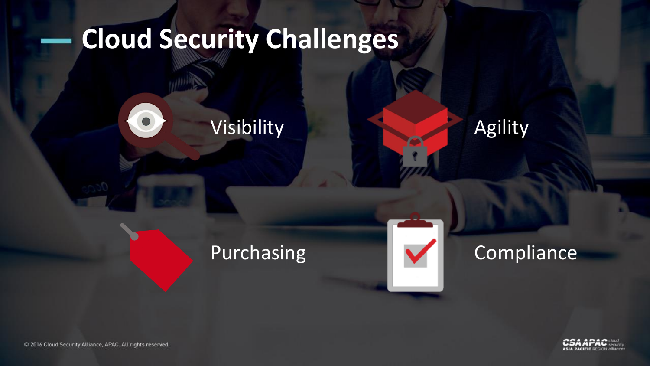# **Cloud Security Challenges**

Visibility





#### Purchasing **Compliance**



© 2016 Cloud Security Alliance, APAC. All rights reserved.

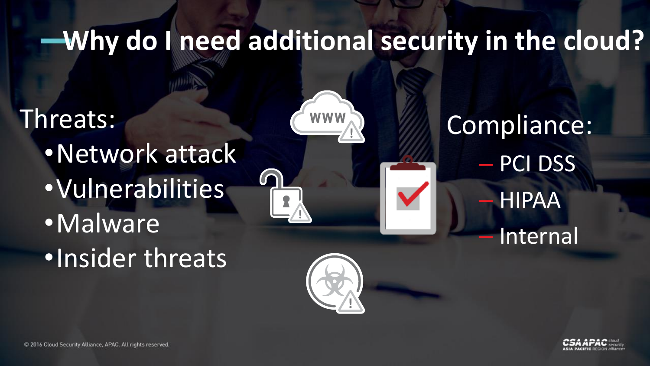## **Why do I need additional security in the cloud?**

**WWW** 

Threats: •Network attack •Vulnerabilities •Malware •Insider threats



Compliance: – PCI DSS **HIPAA Internal** 

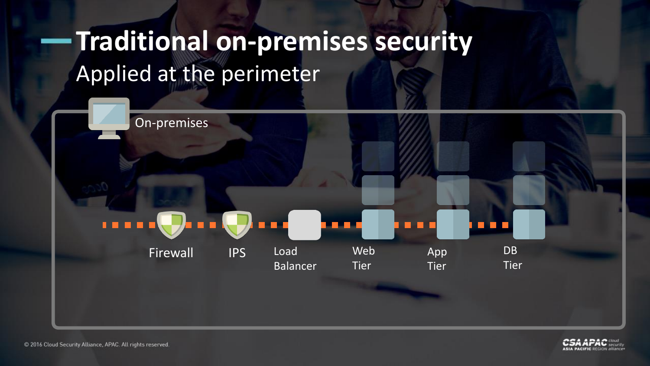# **Traditional on-premises security** Applied at the perimeter



C 2016 Cloud Security Alliance, APAC. All rights reserved.

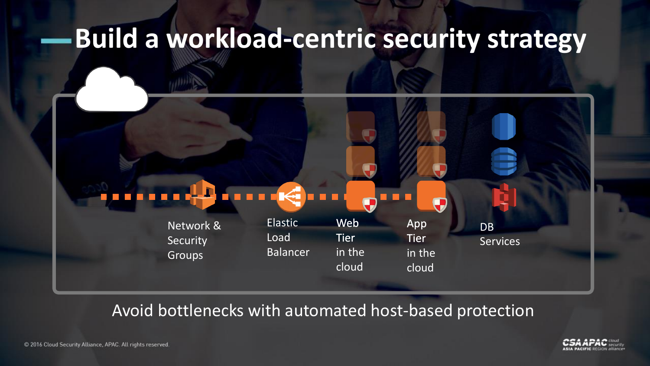## **Build a workload-centric security strategy**

Network & **Security** Groups

Elastic Load Balancer

App **Tier** in the cloud

DB Services

Avoid bottlenecks with automated host-based protection

Web

**Tier** 

in the

cloud

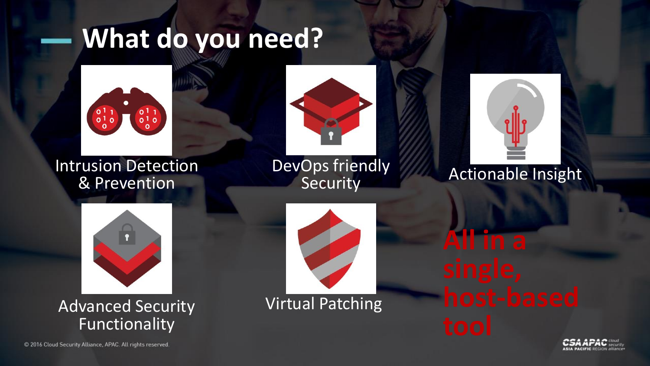## **What do you need?**



Intrusion Detection & Prevention



DevOps friendly **Security** 



#### Actionable Insight



Advanced Security **Virtual Patching** Functionality



**All in a** 



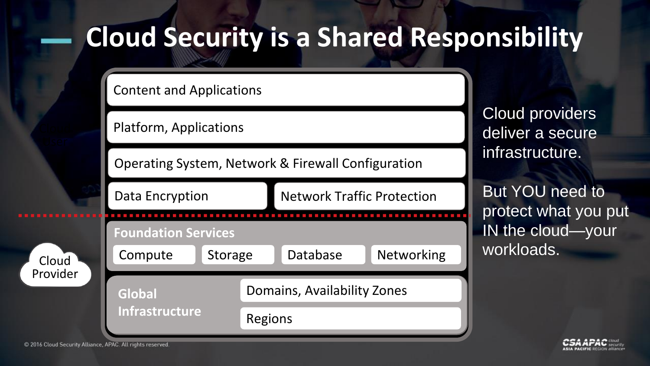## **Cloud Security is a Shared Responsibility**

Content and Applications

Platform, Applications

Operating System, Network & Firewall Configuration

Data Encryption **Network Traffic Protection** 

Cloud Provider



Cloud providers deliver a secure infrastructure.

But YOU need to protect what you put IN the cloud—your workloads.

© 2016 Cloud Security Alliance, APAC. All rights reserved.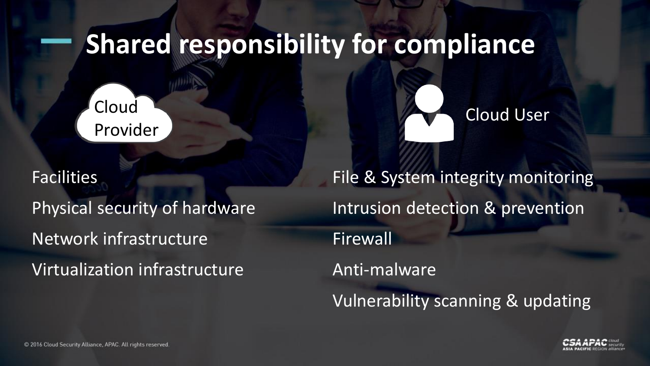#### **Shared responsibility for compliance**

Cloud Provider

Facilities Physical security of hardware Network infrastructure Virtualization infrastructure



File & System integrity monitoring Intrusion detection & prevention Firewall Anti-malware Vulnerability scanning & updating

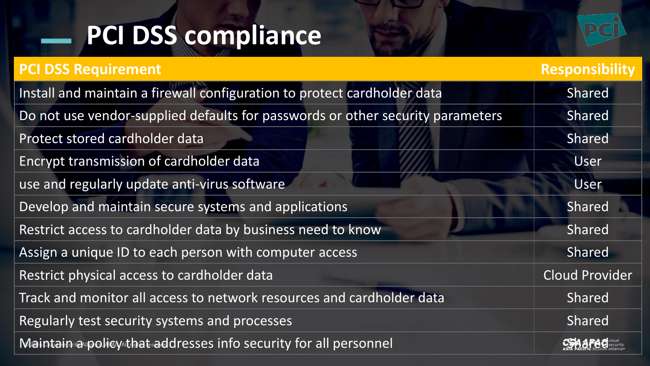# **PCI DSS compliance**



| <b>PCI DSS Requirement</b>                                                     | Responsibility        |
|--------------------------------------------------------------------------------|-----------------------|
| Install and maintain a firewall configuration to protect cardholder data       | Shared                |
| Do not use vendor-supplied defaults for passwords or other security parameters | Shared                |
| Protect stored cardholder data                                                 | Shared                |
| Encrypt transmission of cardholder data                                        | User                  |
| use and regularly update anti-virus software                                   | User                  |
| Develop and maintain secure systems and applications                           | Shared                |
| Restrict access to cardholder data by business need to know                    | Shared                |
| Assign a unique ID to each person with computer access                         | Shared                |
| Restrict physical access to cardholder data                                    | <b>Cloud Provider</b> |
| Track and monitor all access to network resources and cardholder data          | Shared                |
| Regularly test security systems and processes                                  | Shared                |
| Maintain a policy that addresses info security for all personnel               |                       |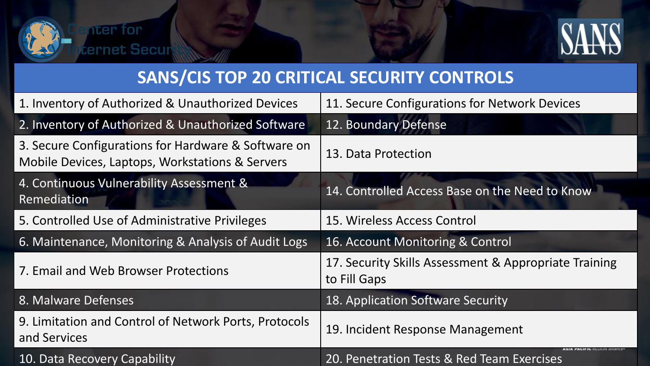



#### **SANS/CIS TOP 20 CRITICAL SECURITY CONTROLS**

| 1. Inventory of Authorized & Unauthorized Devices                                                      | 11. Secure Configurations for Network Devices                         |
|--------------------------------------------------------------------------------------------------------|-----------------------------------------------------------------------|
| 2. Inventory of Authorized & Unauthorized Software                                                     | 12. Boundary Defense                                                  |
| 3. Secure Configurations for Hardware & Software on<br>Mobile Devices, Laptops, Workstations & Servers | 13. Data Protection                                                   |
| 4. Continuous Vulnerability Assessment &<br>Remediation                                                | 14. Controlled Access Base on the Need to Know                        |
| 5. Controlled Use of Administrative Privileges                                                         | 15. Wireless Access Control                                           |
| 6. Maintenance, Monitoring & Analysis of Audit Logs                                                    | 16. Account Monitoring & Control                                      |
| 7. Email and Web Browser Protections                                                                   | 17. Security Skills Assessment & Appropriate Training<br>to Fill Gaps |
| 8. Malware Defenses                                                                                    | 18. Application Software Security                                     |
| 9. Limitation and Control of Network Ports, Protocols<br>and Services                                  | 19. Incident Response Management                                      |
| 10. Data Recovery Capability                                                                           | 20. Penetration Tests & Red Team Exercises                            |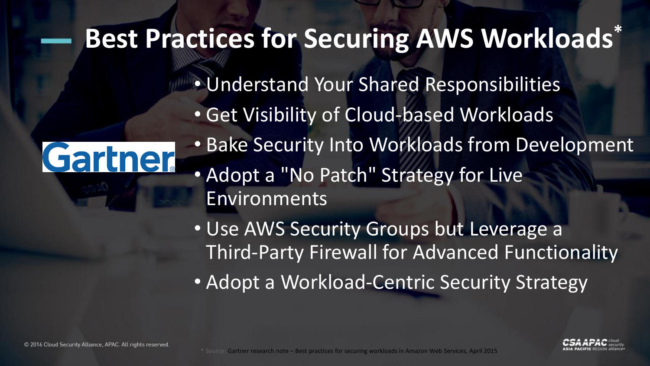## **Best Practices for Securing AWS Workloads\***

Gartner

• Understand Your Shared Responsibilities • Get Visibility of Cloud-based Workloads • Bake Security Into Workloads from Development • Adopt a "No Patch" Strategy for Live **Environments** 

• Use AWS Security Groups but Leverage a Third-Party Firewall for Advanced Functionality • Adopt a Workload-Centric Security Strategy

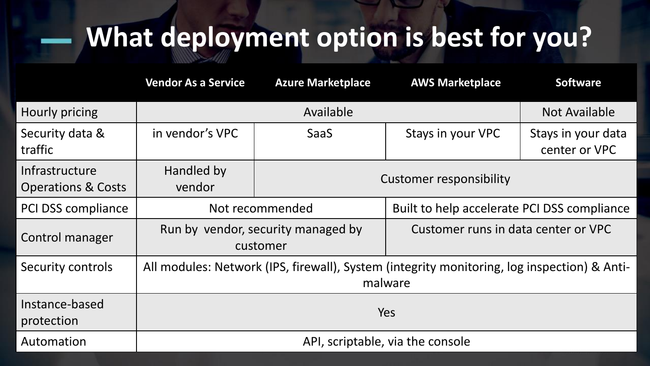## **What deployment option is best for you?**

|                                                 | <b>Vendor As a Service</b>                                                                             | <b>Azure Marketplace</b>       | <b>AWS Marketplace</b>                      | <b>Software</b>                     |  |
|-------------------------------------------------|--------------------------------------------------------------------------------------------------------|--------------------------------|---------------------------------------------|-------------------------------------|--|
| Hourly pricing                                  | Available                                                                                              |                                |                                             | <b>Not Available</b>                |  |
| Security data &<br>traffic                      | in vendor's VPC                                                                                        | <b>SaaS</b>                    | Stays in your VPC                           | Stays in your data<br>center or VPC |  |
| Infrastructure<br><b>Operations &amp; Costs</b> | Handled by<br>vendor                                                                                   | <b>Customer responsibility</b> |                                             |                                     |  |
| <b>PCI DSS compliance</b>                       | Not recommended                                                                                        |                                | Built to help accelerate PCI DSS compliance |                                     |  |
| Control manager                                 | Run by vendor, security managed by<br>customer                                                         |                                | Customer runs in data center or VPC         |                                     |  |
| Security controls                               | All modules: Network (IPS, firewall), System (integrity monitoring, log inspection) & Anti-<br>malware |                                |                                             |                                     |  |
| Instance-based<br>protection                    | Yes                                                                                                    |                                |                                             |                                     |  |
| Automation                                      | API, scriptable, via the console                                                                       |                                |                                             |                                     |  |